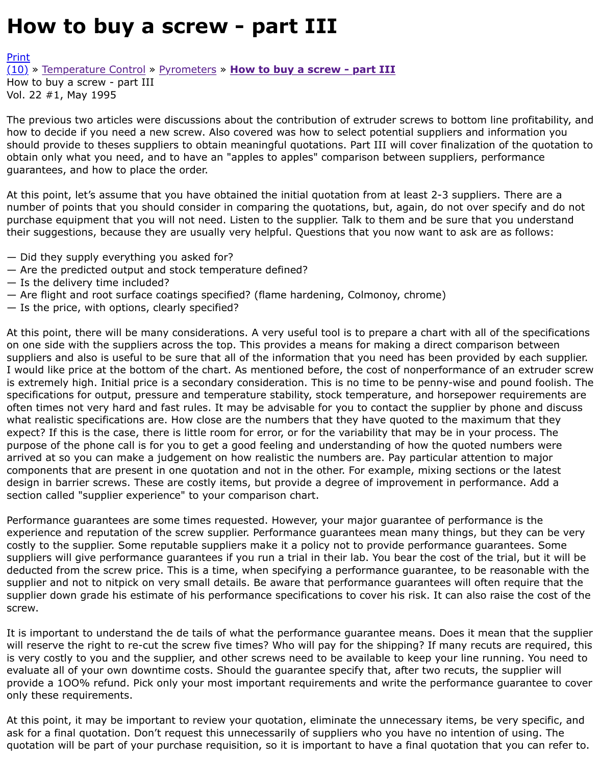The previous two articles were discussions about the contribution of extruder screws to bottom line how to decide if you need a new screw. Also covered was how to select potential suppliers and infor should provide to theses suppliers to obtain meaningful quotations. Part III will cover finalization of [obtai](http://extrusionwiki.com/wiki/Print.aspx?Page=CC-V22-1-B)n only what you need, and to have an "apples to apples" comparison between suppliers, perfor [guar](http://extrusionwiki.com/wiki/CC-V22-1-B.ashx#)an[tees, and how to plac](http://extrusionwiki.com/wiki/CC-V21-3-D.ashx)e [the order.](http://extrusionwiki.com/wiki/CC-V22-1-A.ashx)

At this point, let's assume that you have obtained the initial quotation from at least 2-3 suppliers. T number of points that you should consider in comparing the quotations, but, again, do not over spe purchase equipment that you will not need. Listen to the supplier. Talk to them and be sure that you their suggestions, because they are usually very helpful. Questions that you now want to ask are as

- Did they supply everything you asked for?
- Are the predicted output and stock temperature defined?
- Is the delivery time included?
- Are flight and root surface coatings specified? (flame hardening, Colmonoy, chrome)
- Is the price, with options, clearly specified?

At this point, there will be many considerations. A very useful tool is to prepare a chart with all of th on one side with the suppliers across the top. This provides a means for making a direct comparisor suppliers and also is useful to be sure that all of the information that you need has been provided b I would like price at the bottom of the chart. As mentioned before, the cost of nonperformance of an is extremely high. Initial price is a secondary consideration. This is no time to be penny-wise and po specifications for output, pressure and temperature stability, stock temperature, and horsepower re often times not very hard and fast rules. It may be advisable for you to contact the supplier by phone what realistic specifications are. How close are the numbers that they have quoted to the maximum expect? If this is the case, there is little room for error, or for the variability that may be in your pro purpose of the phone call is for you to get a good feeling and understanding of how the quoted num arrived at so you can make a judgement on how realistic the numbers are. Pay particular attention components that are present in one quotation and not in the other. For example, mixing sections or design in barrier screws. These are costly items, but provide a degree of improvement in performan section called "supplier experience" to your comparison chart.

Performance guarantees are some times requested. However, your major guarantee of performance experience and reputation of the screw supplier. Performance guarantees mean many things, but th costly to the supplier. Some reputable suppliers make it a policy not to provide performance quarant suppliers will give performance guarantees if you run a trial in their lab. You bear the cost of the tria deducted from the screw price. This is a time, when specifying a performance guarantee, to be reas supplier and not to nitpick on very small details. Be aware that performance guarantees will often re supplier down grade his estimate of his performance specifications to cover his risk. It can also raise screw.

It is important to understand the de tails of what the performance guarantee means. Does it mean will reserve the right to re-cut the screw five times? Who will pay for the shipping? If many recuts a is very costly to you and the supplier, and other screws need to be available to keep your line running. evaluate all of your own downtime costs. Should the guarantee specify that, after two recuts, the su provide a 100% refund. Pick only your most important requirements and write the performance gu only these requirements.

At this point, it may be important to review your quotation, eliminate the unnecessary items, be vei ask for a final quotation. Don't request this unnecessarily of suppliers who you have no intention of quotation will be part of your purchase requisition, so it is important to have a final quotation that y